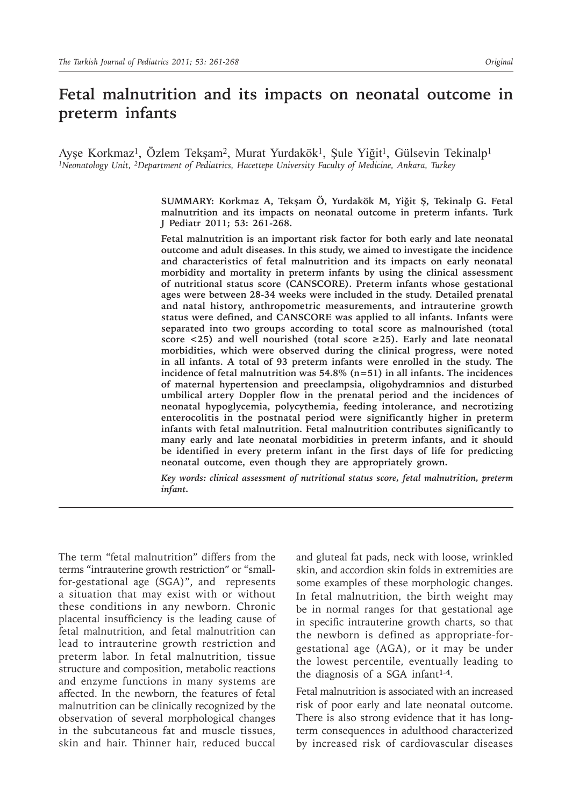# **Fetal malnutrition and its impacts on neonatal outcome in preterm infants**

Ayşe Korkmaz<sup>1</sup>, Özlem Tekşam<sup>2</sup>, Murat Yurdakök<sup>1</sup>, Şule Yiğit<sup>1</sup>, Gülsevin Tekinalp<sup>1</sup> *1Neonatology Unit, 2Department of Pediatrics, Hacettepe University Faculty of Medicine, Ankara, Turkey*

> **SUMMARY: Korkmaz A, Tekşam Ö, Yurdakök M, Yiğit Ş, Tekinalp G. Fetal malnutrition and its impacts on neonatal outcome in preterm infants. Turk J Pediatr 2011; 53: 261-268.**

> **Fetal malnutrition is an important risk factor for both early and late neonatal outcome and adult diseases. In this study, we aimed to investigate the incidence and characteristics of fetal malnutrition and its impacts on early neonatal morbidity and mortality in preterm infants by using the clinical assessment of nutritional status score (CANSCORE). Preterm infants whose gestational ages were between 28-34 weeks were included in the study. Detailed prenatal and natal history, anthropometric measurements, and intrauterine growth status were defined, and CANSCORE was applied to all infants. Infants were separated into two groups according to total score as malnourished (total score <25) and well nourished (total score ≥25). Early and late neonatal morbidities, which were observed during the clinical progress, were noted in all infants. A total of 93 preterm infants were enrolled in the study. The incidence of fetal malnutrition was 54.8% (n=51) in all infants. The incidences of maternal hypertension and preeclampsia, oligohydramnios and disturbed umbilical artery Doppler flow in the prenatal period and the incidences of neonatal hypoglycemia, polycythemia, feeding intolerance, and necrotizing enterocolitis in the postnatal period were significantly higher in preterm infants with fetal malnutrition. Fetal malnutrition contributes significantly to many early and late neonatal morbidities in preterm infants, and it should be identified in every preterm infant in the first days of life for predicting neonatal outcome, even though they are appropriately grown.**

> *Key words: clinical assessment of nutritional status score, fetal malnutrition, preterm infant.*

The term "fetal malnutrition" differs from the terms "intrauterine growth restriction" or "smallfor-gestational age (SGA)", and represents a situation that may exist with or without these conditions in any newborn. Chronic placental insufficiency is the leading cause of fetal malnutrition, and fetal malnutrition can lead to intrauterine growth restriction and preterm labor. In fetal malnutrition, tissue structure and composition, metabolic reactions and enzyme functions in many systems are affected. In the newborn, the features of fetal malnutrition can be clinically recognized by the observation of several morphological changes in the subcutaneous fat and muscle tissues, skin and hair. Thinner hair, reduced buccal

and gluteal fat pads, neck with loose, wrinkled skin, and accordion skin folds in extremities are some examples of these morphologic changes. In fetal malnutrition, the birth weight may be in normal ranges for that gestational age in specific intrauterine growth charts, so that the newborn is defined as appropriate-forgestational age (AGA), or it may be under the lowest percentile, eventually leading to the diagnosis of a SGA infant**1-4**.

Fetal malnutrition is associated with an increased risk of poor early and late neonatal outcome. There is also strong evidence that it has longterm consequences in adulthood characterized by increased risk of cardiovascular diseases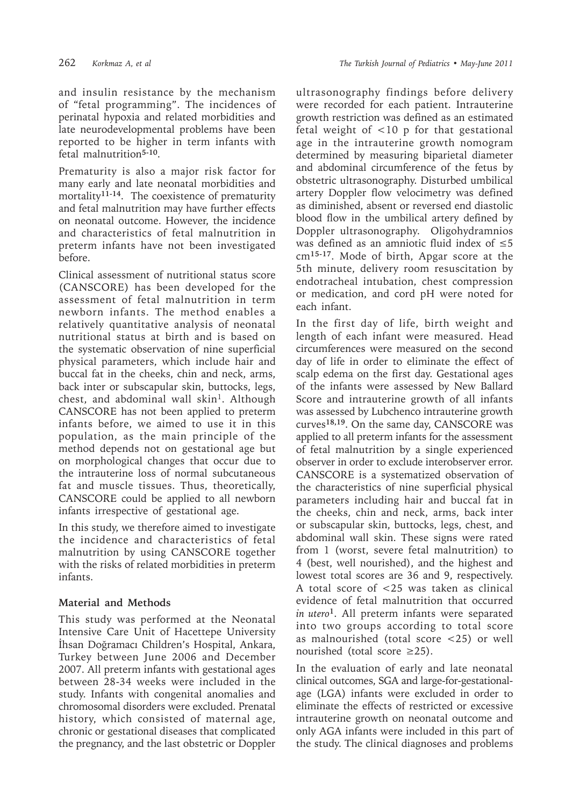and insulin resistance by the mechanism of "fetal programming". The incidences of perinatal hypoxia and related morbidities and late neurodevelopmental problems have been reported to be higher in term infants with fetal malnutrition**5-10**.

Prematurity is also a major risk factor for many early and late neonatal morbidities and mortality**11-14**. The coexistence of prematurity and fetal malnutrition may have further effects on neonatal outcome. However, the incidence and characteristics of fetal malnutrition in preterm infants have not been investigated before.

Clinical assessment of nutritional status score (CANSCORE) has been developed for the assessment of fetal malnutrition in term newborn infants. The method enables a relatively quantitative analysis of neonatal nutritional status at birth and is based on the systematic observation of nine superficial physical parameters, which include hair and buccal fat in the cheeks, chin and neck, arms, back inter or subscapular skin, buttocks, legs, chest, and abdominal wall skin<sup>1</sup>. Although CANSCORE has not been applied to preterm infants before, we aimed to use it in this population, as the main principle of the method depends not on gestational age but on morphological changes that occur due to the intrauterine loss of normal subcutaneous fat and muscle tissues. Thus, theoretically, CANSCORE could be applied to all newborn infants irrespective of gestational age.

In this study, we therefore aimed to investigate the incidence and characteristics of fetal malnutrition by using CANSCORE together with the risks of related morbidities in preterm infants.

## **Material and Methods**

This study was performed at the Neonatal Intensive Care Unit of Hacettepe University İhsan Doğramacı Children's Hospital, Ankara, Turkey between June 2006 and December 2007. All preterm infants with gestational ages between 28-34 weeks were included in the study. Infants with congenital anomalies and chromosomal disorders were excluded. Prenatal history, which consisted of maternal age, chronic or gestational diseases that complicated the pregnancy, and the last obstetric or Doppler ultrasonography findings before delivery were recorded for each patient. Intrauterine growth restriction was defined as an estimated fetal weight of <10 p for that gestational age in the intrauterine growth nomogram determined by measuring biparietal diameter and abdominal circumference of the fetus by obstetric ultrasonography. Disturbed umbilical artery Doppler flow velocimetry was defined as diminished, absent or reversed end diastolic blood flow in the umbilical artery defined by Doppler ultrasonography. Oligohydramnios was defined as an amniotic fluid index of ≤5 cm**15-17**. Mode of birth, Apgar score at the 5th minute, delivery room resuscitation by endotracheal intubation, chest compression or medication, and cord pH were noted for each infant.

In the first day of life, birth weight and length of each infant were measured. Head circumferences were measured on the second day of life in order to eliminate the effect of scalp edema on the first day. Gestational ages of the infants were assessed by New Ballard Score and intrauterine growth of all infants was assessed by Lubchenco intrauterine growth curves**18,19**. On the same day, CANSCORE was applied to all preterm infants for the assessment of fetal malnutrition by a single experienced observer in order to exclude interobserver error. CANSCORE is a systematized observation of the characteristics of nine superficial physical parameters including hair and buccal fat in the cheeks, chin and neck, arms, back inter or subscapular skin, buttocks, legs, chest, and abdominal wall skin. These signs were rated from 1 (worst, severe fetal malnutrition) to 4 (best, well nourished), and the highest and lowest total scores are 36 and 9, respectively. A total score of <25 was taken as clinical evidence of fetal malnutrition that occurred *in utero***<sup>1</sup>**. All preterm infants were separated into two groups according to total score as malnourished (total score <25) or well nourished (total score  $\geq$ 25).

In the evaluation of early and late neonatal clinical outcomes, SGA and large-for-gestationalage (LGA) infants were excluded in order to eliminate the effects of restricted or excessive intrauterine growth on neonatal outcome and only AGA infants were included in this part of the study. The clinical diagnoses and problems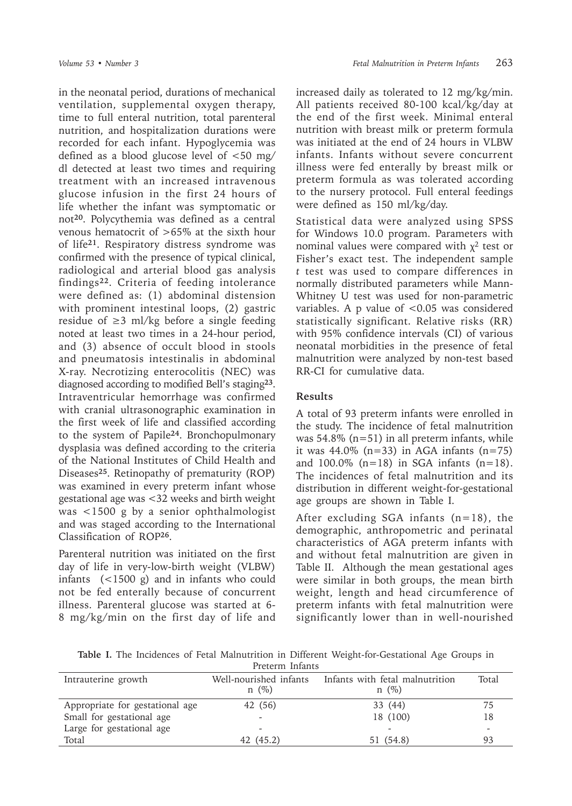in the neonatal period, durations of mechanical ventilation, supplemental oxygen therapy, time to full enteral nutrition, total parenteral nutrition, and hospitalization durations were recorded for each infant. Hypoglycemia was defined as a blood glucose level of <50 mg/ dl detected at least two times and requiring treatment with an increased intravenous glucose infusion in the first 24 hours of life whether the infant was symptomatic or not**<sup>20</sup>**. Polycythemia was defined as a central venous hematocrit of >65% at the sixth hour of life**<sup>21</sup>**. Respiratory distress syndrome was confirmed with the presence of typical clinical, radiological and arterial blood gas analysis findings**22**. Criteria of feeding intolerance were defined as: (1) abdominal distension with prominent intestinal loops, (2) gastric residue of  $≥3$  ml/kg before a single feeding noted at least two times in a 24-hour period, and (3) absence of occult blood in stools and pneumatosis intestinalis in abdominal X-ray. Necrotizing enterocolitis (NEC) was diagnosed according to modified Bell's staging**<sup>23</sup>**. Intraventricular hemorrhage was confirmed with cranial ultrasonographic examination in the first week of life and classified according to the system of Papile**<sup>24</sup>**. Bronchopulmonary dysplasia was defined according to the criteria of the National Institutes of Child Health and Diseases**<sup>25</sup>**. Retinopathy of prematurity (ROP) was examined in every preterm infant whose gestational age was <32 weeks and birth weight was <1500 g by a senior ophthalmologist and was staged according to the International Classification of ROP**<sup>26</sup>**.

Parenteral nutrition was initiated on the first day of life in very-low-birth weight (VLBW) infants (<1500 g) and in infants who could not be fed enterally because of concurrent illness. Parenteral glucose was started at 6- 8 mg/kg/min on the first day of life and

increased daily as tolerated to 12 mg/kg/min. All patients received 80-100 kcal/kg/day at the end of the first week. Minimal enteral nutrition with breast milk or preterm formula was initiated at the end of 24 hours in VLBW infants. Infants without severe concurrent illness were fed enterally by breast milk or preterm formula as was tolerated according to the nursery protocol. Full enteral feedings were defined as 150 ml/kg/day.

Statistical data were analyzed using SPSS for Windows 10.0 program. Parameters with nominal values were compared with  $\chi^2$  test or Fisher's exact test. The independent sample *t* test was used to compare differences in normally distributed parameters while Mann-Whitney U test was used for non-parametric variables. A p value of  $< 0.05$  was considered statistically significant. Relative risks (RR) with 95% confidence intervals (CI) of various neonatal morbidities in the presence of fetal malnutrition were analyzed by non-test based RR-CI for cumulative data.

### **Results**

A total of 93 preterm infants were enrolled in the study. The incidence of fetal malnutrition was 54.8% (n=51) in all preterm infants, while it was  $44.0\%$  (n=33) in AGA infants (n=75) and  $100.0\%$  (n=18) in SGA infants (n=18). The incidences of fetal malnutrition and its distribution in different weight-for-gestational age groups are shown in Table I.

After excluding SGA infants  $(n=18)$ , the demographic, anthropometric and perinatal characteristics of AGA preterm infants with and without fetal malnutrition are given in Table II. Although the mean gestational ages were similar in both groups, the mean birth weight, length and head circumference of preterm infants with fetal malnutrition were significantly lower than in well-nourished

**Table I.** The Incidences of Fetal Malnutrition in Different Weight-for-Gestational Age Groups in Preterm Infants

| Intrauterine growth             | Well-nourished infants<br>$n \ (\%)$ | Infants with fetal malnutrition<br>$n \ (\%)$ | Total                    |
|---------------------------------|--------------------------------------|-----------------------------------------------|--------------------------|
| Appropriate for gestational age | 42 (56)                              | 33 (44)                                       | 75                       |
| Small for gestational age       |                                      | 18 (100)                                      | 18                       |
| Large for gestational age       |                                      | -                                             | $\overline{\phantom{a}}$ |
| Total                           | 42 (45.2)                            | 51 (54.8)                                     | 93                       |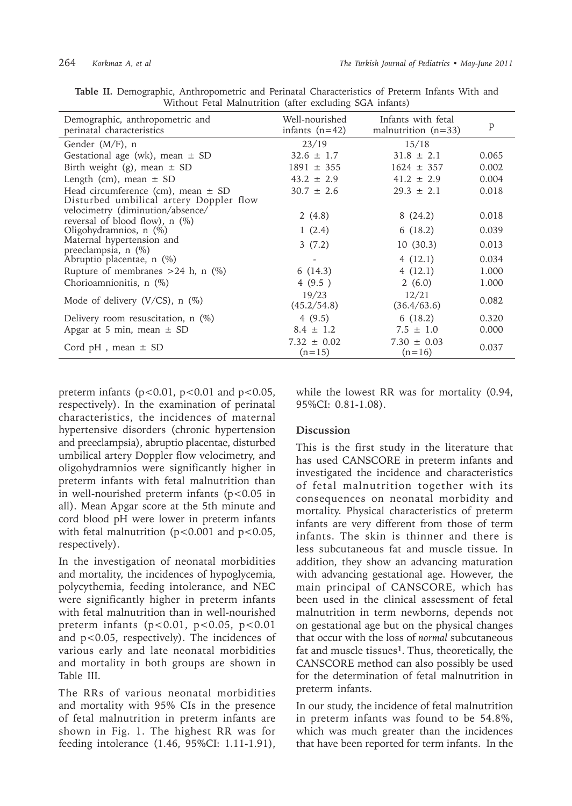| Demographic, anthropometric and<br>perinatal characteristics         | Well-nourished<br>infants $(n=42)$ | Infants with fetal<br>malnutrition $(n=33)$ | p     |
|----------------------------------------------------------------------|------------------------------------|---------------------------------------------|-------|
| Gender $(M/F)$ , n                                                   | 23/19                              | 15/18                                       |       |
| Gestational age (wk), mean $\pm$ SD                                  | $32.6 \pm 1.7$                     | $31.8 \pm 2.1$                              | 0.065 |
| Birth weight (g), mean $\pm$ SD                                      | $1891 \pm 355$                     | $1624 \pm 357$                              | 0.002 |
| Length (cm), mean $\pm$ SD                                           | $43.2 \pm 2.9$                     | $41.2 \pm 2.9$                              | 0.004 |
| Head circumference (cm), mean $\pm$ SD                               | $30.7 \pm 2.6$                     | $29.3 \pm 2.1$                              | 0.018 |
| Disturbed umbilical artery Doppler flow                              |                                    |                                             |       |
| velocimetry (diminution/absence/<br>reversal of blood flow), $n$ (%) | 2(4.8)                             | 8(24.2)                                     | 0.018 |
| Oligohydramnios, $n$ (%)                                             | 1(2.4)                             | 6(18.2)                                     | 0.039 |
| Maternal hypertension and<br>preeclampsia, n (%)                     | 3(7.2)                             | 10(30.3)                                    | 0.013 |
| Abruptio placentae, n (%)                                            |                                    | 4(12.1)                                     | 0.034 |
| Rupture of membranes $>24$ h, n (%)                                  | 6(14.3)                            | 4(12.1)                                     | 1.000 |
| Chorioamnionitis, n (%)                                              | 4(9.5)                             | 2(6.0)                                      | 1.000 |
| Mode of delivery $(V/CS)$ , n $(\%)$                                 | 19/23<br>(45.2/54.8)               | 12/21<br>(36.4/63.6)                        | 0.082 |
| Delivery room resuscitation, $n$ (%)                                 | 4(9.5)                             | 6(18.2)                                     | 0.320 |
| Apgar at 5 min, mean $\pm$ SD                                        | $8.4 \pm 1.2$                      | $7.5 \pm 1.0$                               | 0.000 |
| Cord $pH$ , mean $\pm$ SD                                            | $7.32 \pm 0.02$<br>$(n=15)$        | $7.30 \pm 0.03$<br>$(n=16)$                 | 0.037 |

**Table II.** Demographic, Anthropometric and Perinatal Characteristics of Preterm Infants With and Without Fetal Malnutrition (after excluding SGA infants)

preterm infants ( $p<0.01$ ,  $p<0.01$  and  $p<0.05$ , respectively). In the examination of perinatal characteristics, the incidences of maternal hypertensive disorders (chronic hypertension and preeclampsia), abruptio placentae, disturbed umbilical artery Doppler flow velocimetry, and oligohydramnios were significantly higher in preterm infants with fetal malnutrition than in well-nourished preterm infants  $(p<0.05$  in all). Mean Apgar score at the 5th minute and cord blood pH were lower in preterm infants with fetal malnutrition ( $p < 0.001$  and  $p < 0.05$ , respectively).

In the investigation of neonatal morbidities and mortality, the incidences of hypoglycemia, polycythemia, feeding intolerance, and NEC were significantly higher in preterm infants with fetal malnutrition than in well-nourished preterm infants ( $p < 0.01$ ,  $p < 0.05$ ,  $p < 0.01$ and p<0.05, respectively). The incidences of various early and late neonatal morbidities and mortality in both groups are shown in Table III.

The RRs of various neonatal morbidities and mortality with 95% CIs in the presence of fetal malnutrition in preterm infants are shown in Fig. 1. The highest RR was for feeding intolerance (1.46, 95%CI: 1.11-1.91),

while the lowest RR was for mortality (0.94, 95%CI: 0.81-1.08).

#### **Discussion**

This is the first study in the literature that has used CANSCORE in preterm infants and investigated the incidence and characteristics of fetal malnutrition together with its consequences on neonatal morbidity and mortality. Physical characteristics of preterm infants are very different from those of term infants. The skin is thinner and there is less subcutaneous fat and muscle tissue. In addition, they show an advancing maturation with advancing gestational age. However, the main principal of CANSCORE, which has been used in the clinical assessment of fetal malnutrition in term newborns, depends not on gestational age but on the physical changes that occur with the loss of *normal* subcutaneous fat and muscle tissues**<sup>1</sup>**. Thus, theoretically, the CANSCORE method can also possibly be used for the determination of fetal malnutrition in preterm infants.

In our study, the incidence of fetal malnutrition in preterm infants was found to be 54.8%, which was much greater than the incidences that have been reported for term infants. In the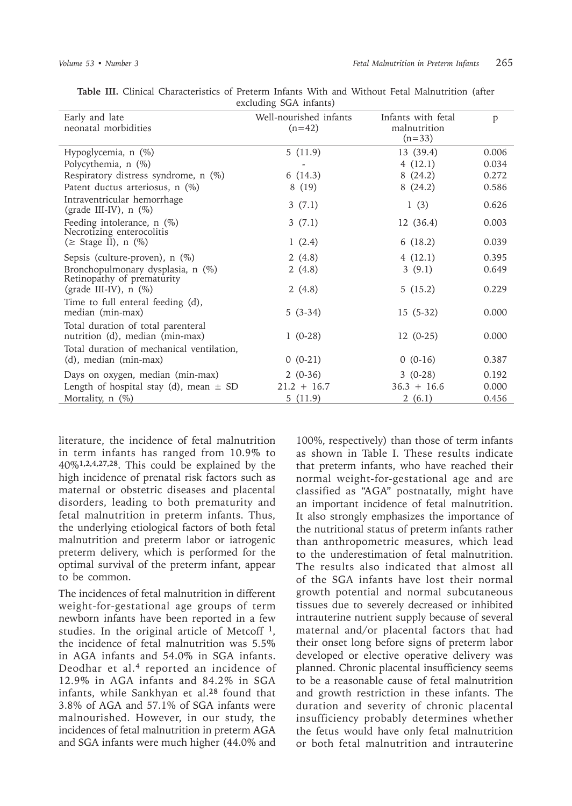| Early and late                                                        | Well-nourished infants | Infants with fetal | p     |
|-----------------------------------------------------------------------|------------------------|--------------------|-------|
| neonatal morbidities                                                  | $(n=42)$               | malnutrition       |       |
|                                                                       |                        | $(n=33)$           |       |
| Hypoglycemia, n (%)                                                   | 5(11.9)                | 13 (39.4)          | 0.006 |
| Polycythemia, n (%)                                                   |                        | 4(12.1)            | 0.034 |
| Respiratory distress syndrome, n (%)                                  | 6(14.3)                | 8(24.2)            | 0.272 |
| Patent ductus arteriosus, n (%)                                       | 8(19)                  | 8(24.2)            | 0.586 |
| Intraventricular hemorrhage<br>(grade III-IV), $n$ (%)                | 3(7.1)                 | 1(3)               | 0.626 |
| Feeding intolerance, n (%)<br>Necrotizing enterocolitis               | 3(7.1)                 | 12 (36.4)          | 0.003 |
| ( $\geq$ Stage II), n (%)                                             | 1(2.4)                 | 6(18.2)            | 0.039 |
| Sepsis (culture-proven), $n$ (%)                                      | 2(4.8)                 | 4(12.1)            | 0.395 |
| Bronchopulmonary dysplasia, n (%)<br>Retinopathy of prematurity       | 2(4.8)                 | 3(9.1)             | 0.649 |
| (grade III-IV), $n$ (%)                                               | 2(4.8)                 | 5(15.2)            | 0.229 |
| Time to full enteral feeding (d),                                     |                        |                    |       |
| median (min-max)                                                      | $5(3-34)$              | $15(5-32)$         | 0.000 |
| Total duration of total parenteral<br>nutrition (d), median (min-max) | $1(0-28)$              | $12(0-25)$         | 0.000 |
| Total duration of mechanical ventilation,<br>(d), median (min-max)    | $0(0-21)$              | $0(0-16)$          | 0.387 |
| Days on oxygen, median (min-max)                                      | $2(0-36)$              | $3(0-28)$          | 0.192 |
| Length of hospital stay (d), mean $\pm$ SD                            | $21.2 + 16.7$          | $36.3 + 16.6$      | 0.000 |
| Mortality, n (%)                                                      | 5(11.9)                | 2(6.1)             | 0.456 |

**Table III.** Clinical Characteristics of Preterm Infants With and Without Fetal Malnutrition (after excluding SGA infants)

literature, the incidence of fetal malnutrition in term infants has ranged from 10.9% to 40%**1,2,4,27,28**. This could be explained by the high incidence of prenatal risk factors such as maternal or obstetric diseases and placental disorders, leading to both prematurity and fetal malnutrition in preterm infants. Thus, the underlying etiological factors of both fetal malnutrition and preterm labor or iatrogenic preterm delivery, which is performed for the optimal survival of the preterm infant, appear to be common.

The incidences of fetal malnutrition in different weight-for-gestational age groups of term newborn infants have been reported in a few studies. In the original article of Metcoff **<sup>1</sup>**, the incidence of fetal malnutrition was 5.5% in AGA infants and 54.0% in SGA infants. Deodhar et al.4 reported an incidence of 12.9% in AGA infants and 84.2% in SGA infants, while Sankhyan et al.**<sup>28</sup>** found that 3.8% of AGA and 57.1% of SGA infants were malnourished. However, in our study, the incidences of fetal malnutrition in preterm AGA and SGA infants were much higher (44.0% and

100%, respectively) than those of term infants as shown in Table I. These results indicate that preterm infants, who have reached their normal weight-for-gestational age and are classified as "AGA" postnatally, might have an important incidence of fetal malnutrition. It also strongly emphasizes the importance of the nutritional status of preterm infants rather than anthropometric measures, which lead to the underestimation of fetal malnutrition. The results also indicated that almost all of the SGA infants have lost their normal growth potential and normal subcutaneous tissues due to severely decreased or inhibited intrauterine nutrient supply because of several maternal and/or placental factors that had their onset long before signs of preterm labor developed or elective operative delivery was planned. Chronic placental insufficiency seems to be a reasonable cause of fetal malnutrition and growth restriction in these infants. The duration and severity of chronic placental insufficiency probably determines whether the fetus would have only fetal malnutrition or both fetal malnutrition and intrauterine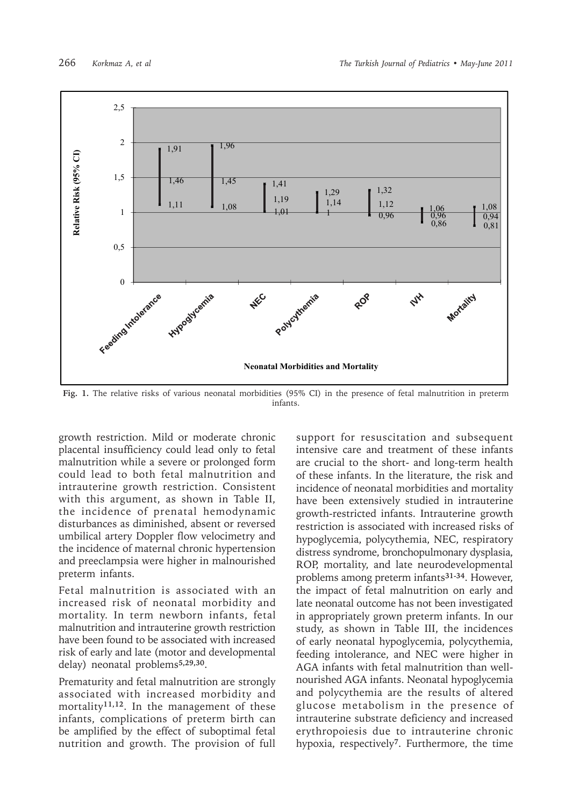

Fig. 1. The relative risks of various neonatal morbidities (95% CI) in the presence of fetal malnutrition in preterm infants.

growth restriction. Mild or moderate chronic placental insufficiency could lead only to fetal malnutrition while a severe or prolonged form could lead to both fetal malnutrition and intrauterine growth restriction. Consistent with this argument, as shown in Table II, the incidence of prenatal hemodynamic disturbances as diminished, absent or reversed umbilical artery Doppler flow velocimetry and the incidence of maternal chronic hypertension and preeclampsia were higher in malnourished preterm infants.

Fetal malnutrition is associated with an increased risk of neonatal morbidity and mortality. In term newborn infants, fetal malnutrition and intrauterine growth restriction have been found to be associated with increased risk of early and late (motor and developmental delay) neonatal problems**5,29,30**.

Prematurity and fetal malnutrition are strongly associated with increased morbidity and mortality**11,12**. In the management of these infants, complications of preterm birth can be amplified by the effect of suboptimal fetal nutrition and growth. The provision of full

support for resuscitation and subsequent intensive care and treatment of these infants are crucial to the short- and long-term health of these infants. In the literature, the risk and incidence of neonatal morbidities and mortality have been extensively studied in intrauterine growth-restricted infants. Intrauterine growth restriction is associated with increased risks of hypoglycemia, polycythemia, NEC, respiratory distress syndrome, bronchopulmonary dysplasia, ROP, mortality, and late neurodevelopmental problems among preterm infants**31-34**. However, the impact of fetal malnutrition on early and late neonatal outcome has not been investigated in appropriately grown preterm infants. In our study, as shown in Table III, the incidences of early neonatal hypoglycemia, polycythemia, feeding intolerance, and NEC were higher in AGA infants with fetal malnutrition than wellnourished AGA infants. Neonatal hypoglycemia and polycythemia are the results of altered glucose metabolism in the presence of intrauterine substrate deficiency and increased erythropoiesis due to intrauterine chronic hypoxia, respectively**<sup>7</sup>**. Furthermore, the time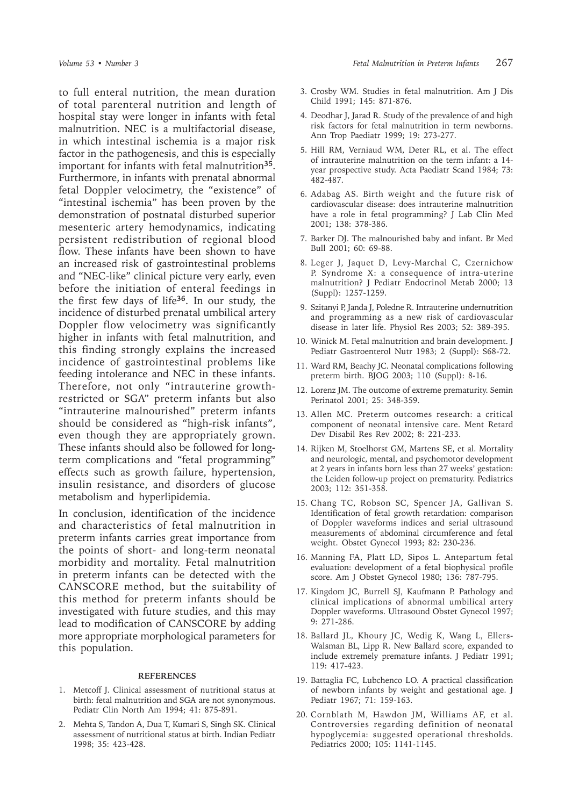to full enteral nutrition, the mean duration of total parenteral nutrition and length of hospital stay were longer in infants with fetal malnutrition. NEC is a multifactorial disease, in which intestinal ischemia is a major risk factor in the pathogenesis, and this is especially important for infants with fetal malnutrition**<sup>35</sup>**. Furthermore, in infants with prenatal abnormal fetal Doppler velocimetry, the "existence" of "intestinal ischemia" has been proven by the demonstration of postnatal disturbed superior mesenteric artery hemodynamics, indicating persistent redistribution of regional blood flow. These infants have been shown to have an increased risk of gastrointestinal problems and "NEC-like" clinical picture very early, even before the initiation of enteral feedings in the first few days of life**<sup>36</sup>**. In our study, the incidence of disturbed prenatal umbilical artery Doppler flow velocimetry was significantly higher in infants with fetal malnutrition, and this finding strongly explains the increased incidence of gastrointestinal problems like feeding intolerance and NEC in these infants. Therefore, not only "intrauterine growthrestricted or SGA" preterm infants but also "intrauterine malnourished" preterm infants should be considered as "high-risk infants", even though they are appropriately grown. These infants should also be followed for longterm complications and "fetal programming" effects such as growth failure, hypertension, insulin resistance, and disorders of glucose metabolism and hyperlipidemia.

In conclusion, identification of the incidence and characteristics of fetal malnutrition in preterm infants carries great importance from the points of short- and long-term neonatal morbidity and mortality. Fetal malnutrition in preterm infants can be detected with the CANSCORE method, but the suitability of this method for preterm infants should be investigated with future studies, and this may lead to modification of CANSCORE by adding more appropriate morphological parameters for this population.

#### **REFERENCES**

- 1. Metcoff J. Clinical assessment of nutritional status at birth: fetal malnutrition and SGA are not synonymous. Pediatr Clin North Am 1994; 41: 875-891.
- 2. Mehta S, Tandon A, Dua T, Kumari S, Singh SK. Clinical assessment of nutritional status at birth. Indian Pediatr 1998; 35: 423-428.
- 3. Crosby WM. Studies in fetal malnutrition. Am J Dis Child 1991; 145: 871-876.
- 4. Deodhar J, Jarad R. Study of the prevalence of and high risk factors for fetal malnutrition in term newborns. Ann Trop Paediatr 1999; 19: 273-277.
- 5. Hill RM, Verniaud WM, Deter RL, et al. The effect of intrauterine malnutrition on the term infant: a 14 year prospective study. Acta Paediatr Scand 1984; 73: 482-487.
- 6. Adabag AS. Birth weight and the future risk of cardiovascular disease: does intrauterine malnutrition have a role in fetal programming? J Lab Clin Med 2001; 138: 378-386.
- 7. Barker DJ. The malnourished baby and infant. Br Med Bull 2001; 60: 69-88.
- 8. Leger J, Jaquet D, Levy-Marchal C, Czernichow P. Syndrome X: a consequence of intra-uterine malnutrition? J Pediatr Endocrinol Metab 2000; 13 (Suppl): 1257-1259.
- 9. Szitanyi P, Janda J, Poledne R. Intrauterine undernutrition and programming as a new risk of cardiovascular disease in later life. Physiol Res 2003; 52: 389-395.
- 10. Winick M. Fetal malnutrition and brain development. J Pediatr Gastroenterol Nutr 1983; 2 (Suppl): S68-72.
- 11. Ward RM, Beachy JC. Neonatal complications following preterm birth. BJOG 2003; 110 (Suppl): 8-16.
- 12. Lorenz JM. The outcome of extreme prematurity. Semin Perinatol 2001; 25: 348-359.
- 13. Allen MC. Preterm outcomes research: a critical component of neonatal intensive care. Ment Retard Dev Disabil Res Rev 2002; 8: 221-233.
- 14. Rijken M, Stoelhorst GM, Martens SE, et al. Mortality and neurologic, mental, and psychomotor development at 2 years in infants born less than 27 weeks' gestation: the Leiden follow-up project on prematurity. Pediatrics 2003; 112: 351-358.
- 15. Chang TC, Robson SC, Spencer JA, Gallivan S. Identification of fetal growth retardation: comparison of Doppler waveforms indices and serial ultrasound measurements of abdominal circumference and fetal weight. Obstet Gynecol 1993; 82: 230-236.
- 16. Manning FA, Platt LD, Sipos L. Antepartum fetal evaluation: development of a fetal biophysical profile score. Am J Obstet Gynecol 1980; 136: 787-795.
- 17. Kingdom JC, Burrell SJ, Kaufmann P. Pathology and clinical implications of abnormal umbilical artery Doppler waveforms. Ultrasound Obstet Gynecol 1997; 9: 271-286.
- 18. Ballard JL, Khoury JC, Wedig K, Wang L, Ellers-Walsman BL, Lipp R. New Ballard score, expanded to include extremely premature infants. J Pediatr 1991; 119: 417-423.
- 19. Battaglia FC, Lubchenco LO. A practical classification of newborn infants by weight and gestational age. J Pediatr 1967; 71: 159-163.
- 20. Cornblath M, Hawdon JM, Williams AF, et al. Controversies regarding definition of neonatal hypoglycemia: suggested operational thresholds. Pediatrics 2000; 105: 1141-1145.